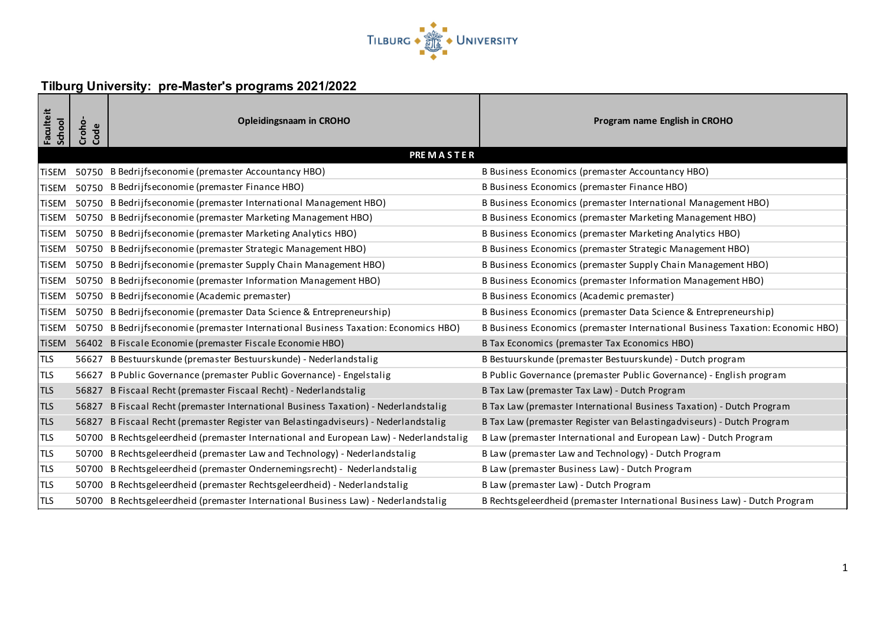

## **Tilburg University: pre-Master's programs 2021/2022**

| <b>Faculteit</b><br>School | Croho-<br>Code   | <b>Opleidingsnaam in CROHO</b>                                                         | Program name English in CROHO                                                  |  |  |
|----------------------------|------------------|----------------------------------------------------------------------------------------|--------------------------------------------------------------------------------|--|--|
|                            | <b>PREMASTER</b> |                                                                                        |                                                                                |  |  |
| <b>TiSEM</b>               |                  | 50750 B Bedrijfseconomie (premaster Accountancy HBO)                                   | B Business Economics (premaster Accountancy HBO)                               |  |  |
| <b>TiSEM</b>               |                  | 50750 B Bedrijfseconomie (premaster Finance HBO)                                       | B Business Economics (premaster Finance HBO)                                   |  |  |
| <b>TiSEM</b>               |                  | 50750 B Bedrijfseconomie (premaster International Management HBO)                      | B Business Economics (premaster International Management HBO)                  |  |  |
| <b>TiSEM</b>               |                  | 50750 B Bedrijfseconomie (premaster Marketing Management HBO)                          | B Business Economics (premaster Marketing Management HBO)                      |  |  |
| <b>TiSEM</b>               |                  | 50750 B Bedrijfseconomie (premaster Marketing Analytics HBO)                           | B Business Economics (premaster Marketing Analytics HBO)                       |  |  |
| <b>TiSEM</b>               |                  | 50750 B Bedrijfseconomie (premaster Strategic Management HBO)                          | B Business Economics (premaster Strategic Management HBO)                      |  |  |
| <b>TiSEM</b>               |                  | 50750 B Bedrijfseconomie (premaster Supply Chain Management HBO)                       | B Business Economics (premaster Supply Chain Management HBO)                   |  |  |
| <b>TiSEM</b>               |                  | 50750 B Bedrijfseconomie (premaster Information Management HBO)                        | B Business Economics (premaster Information Management HBO)                    |  |  |
| <b>TiSEM</b>               |                  | 50750 B Bedrijfseconomie (Academic premaster)                                          | B Business Economics (Academic premaster)                                      |  |  |
| <b>TiSEM</b>               |                  | 50750 B Bedrijfseconomie (premaster Data Science & Entrepreneurship)                   | B Business Economics (premaster Data Science & Entrepreneurship)               |  |  |
| <b>TiSEM</b>               |                  | 50750 B Bedrijfseconomie (premaster International Business Taxation: Economics HBO)    | B Business Economics (premaster International Business Taxation: Economic HBO) |  |  |
| <b>TiSEM</b>               |                  | 56402 B Fiscale Economie (premaster Fiscale Economie HBO)                              | B Tax Economics (premaster Tax Economics HBO)                                  |  |  |
| <b>TLS</b>                 |                  | 56627 B Bestuurskunde (premaster Bestuurskunde) - Nederlandstalig                      | B Bestuurskunde (premaster Bestuurskunde) - Dutch program                      |  |  |
| <b>TLS</b>                 | 56627            | B Public Governance (premaster Public Governance) - Engelstalig                        | B Public Governance (premaster Public Governance) - English program            |  |  |
| <b>TLS</b>                 | 56827            | B Fiscaal Recht (premaster Fiscaal Recht) - Nederlandstalig                            | B Tax Law (premaster Tax Law) - Dutch Program                                  |  |  |
| <b>TLS</b>                 | 56827            | B Fiscaal Recht (premaster International Business Taxation) - Nederlandstalig          | B Tax Law (premaster International Business Taxation) - Dutch Program          |  |  |
| <b>TLS</b>                 |                  | 56827 B Fiscaal Recht (premaster Register van Belastingadviseurs) - Nederlandstalig    | B Tax Law (premaster Register van Belastingadviseurs) - Dutch Program          |  |  |
| <b>TLS</b>                 |                  | 50700 B Rechtsgeleerdheid (premaster International and European Law) - Nederlandstalig | B Law (premaster International and European Law) - Dutch Program               |  |  |
| <b>TLS</b>                 |                  | 50700 B Rechtsgeleerdheid (premaster Law and Technology) - Nederlandstalig             | B Law (premaster Law and Technology) - Dutch Program                           |  |  |
| <b>TLS</b>                 |                  | 50700 B Rechtsgeleerdheid (premaster Ondernemingsrecht) - Nederlandstalig              | B Law (premaster Business Law) - Dutch Program                                 |  |  |
| <b>TLS</b>                 |                  | 50700 B Rechtsgeleerdheid (premaster Rechtsgeleerdheid) - Nederlandstalig              | B Law (premaster Law) - Dutch Program                                          |  |  |
| <b>TLS</b>                 |                  | 50700 B Rechtsgeleerdheid (premaster International Business Law) - Nederlandstalig     | B Rechtsgeleerdheid (premaster International Business Law) - Dutch Program     |  |  |